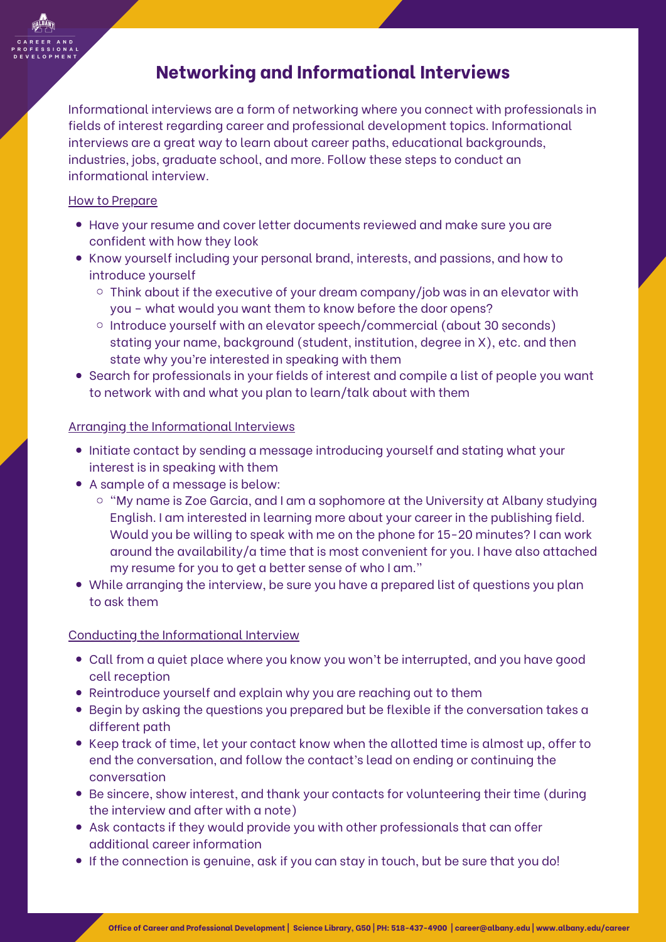

# **Networking and Informational Interviews**

Informational interviews are a form of networking where you connect with professionals in fields of interest regarding career and professional development topics. Informational interviews are a great way to learn about career paths, educational backgrounds, industries, jobs, graduate school, and more. Follow these steps to conduct an informational interview.

## How to Prepare

- Have your resume and cover letter documents reviewed and make sure you are confident with how they look
- Know yourself including your personal brand, interests, and passions, and how to introduce yourself
	- $\circ$  Think about if the executive of your dream company/job was in an elevator with you – what would you want them to know before the door opens?
	- o Introduce yourself with an elevator speech/commercial (about 30 seconds) stating your name, background (student, institution, degree in X), etc. and then state why you're interested in speaking with them
- Search for professionals in your fields of interest and compile a list of people you want to network with and what you plan to learn/talk about with them

## Arranging the Informational Interviews

- Initiate contact by sending a message introducing yourself and stating what your interest is in speaking with them
- A sample of a message is below:
	- $\circ$  "My name is Zoe Garcia, and I am a sophomore at the University at Albany studying English. I am interested in learning more about your career in the publishing field. Would you be willing to speak with me on the phone for 15-20 minutes? Ican work around the availability/a time that is most convenient for you. I have also attached my resume for you to get a better sense of who Iam."
- While arranging the interview, be sure you have a prepared list of questions you plan to ask them

## Conducting the Informational Interview

- Call from a quiet place where you know you won't be interrupted, and you have good cell reception
- Reintroduce yourself and explain why you are reaching out to them
- Begin by asking the questions you prepared but be flexible if the conversation takes a different path
- Keep track of time, let your contact know when the allotted time is almost up, offer to end the conversation, and follow the contact's lead on ending or continuing the conversation
- Be sincere, show interest, and thank your contacts for volunteering their time (during the interview and after with a note)
- Ask contacts if they would provide you with other professionals that can offer additional career information
- If the connection is genuine, ask if you can stay in touch, but be sure that you do!